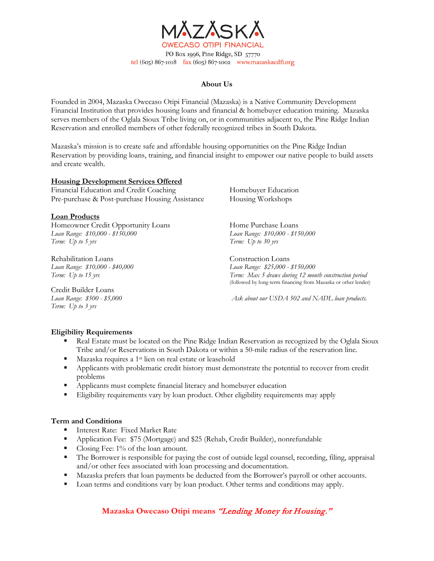

PO Box 1996, Pine Ridge, SD 57770 tel (605) 867-1018 fax (605) 867-1002 www.mazaskacdfi.org

### **About Us**

Founded in 2004, Mazaska Owecaso Otipi Financial (Mazaska) is a Native Community Development Financial Institution that provides housing loans and financial & homebuyer education training. Mazaska serves members of the Oglala Sioux Tribe living on, or in communities adjacent to, the Pine Ridge Indian Reservation and enrolled members of other federally recognized tribes in South Dakota.

Mazaska's mission is to create safe and affordable housing opportunities on the Pine Ridge Indian Reservation by providing loans, training, and financial insight to empower our native people to build assets and create wealth.

### **Housing Development Services Offered**

Financial Education and Credit Coaching Homebuyer Education Pre-purchase & Post-purchase Housing Assistance Housing Workshops

#### **Loan Products**

Homeowner Credit Opportunity Loans Home Purchase Loans *Loan Range: \$10,000 - \$150,000 Loan Range: \$10,000 - \$150,000*

Rehabilitation Loans Construction Loans

Credit Builder Loans *Term: Up to 3 yrs*

*Term: Up to 5 yrs Term: Up to 30 yrs* 

*Loan Range: \$10,000 - \$40,000 Loan Range: \$25,000 - \$150,000 Term: Up to 15 yrs Term: Max 5 draws during 12 month construction period* (followed by long-term financing from Mazaska or other lender)

*Loan Range: \$500 - \$5,000 Ask about our USDA 502 and NADL loan products.*

### **Eligibility Requirements**

- Real Estate must be located on the Pine Ridge Indian Reservation as recognized by the Oglala Sioux Tribe and/or Reservations in South Dakota or within a 50-mile radius of the reservation line.
- Mazaska requires a 1st lien on real estate or leasehold
- Applicants with problematic credit history must demonstrate the potential to recover from credit problems
- Applicants must complete financial literacy and homebuyer education
- Eligibility requirements vary by loan product. Other eligibility requirements may apply

### **Term and Conditions**

- Interest Rate: Fixed Market Rate
- Application Fee: \$75 (Mortgage) and \$25 (Rehab, Credit Builder), nonrefundable
- Closing Fee:  $1\%$  of the loan amount.
- The Borrower is responsible for paying the cost of outside legal counsel, recording, filing, appraisal and/or other fees associated with loan processing and documentation.
- Mazaska prefers that loan payments be deducted from the Borrower's payroll or other accounts.
- **Loan terms and conditions vary by loan product. Other terms and conditions may apply.**

### **Mazaska Owecaso Otipi means** "Lending Money for Housing."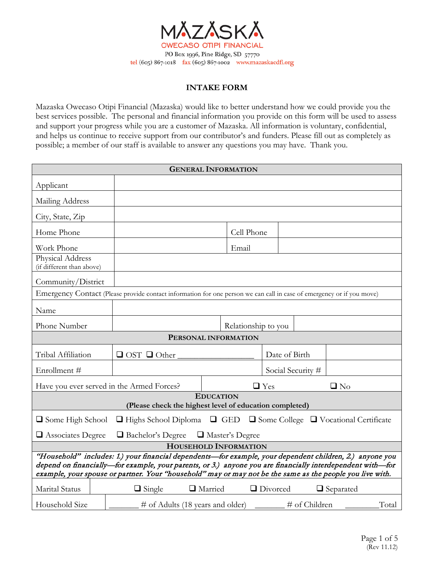

## **INTAKE FORM**

Mazaska Owecaso Otipi Financial (Mazaska) would like to better understand how we could provide you the best services possible. The personal and financial information you provide on this form will be used to assess and support your progress while you are a customer of Mazaska. All information is voluntary, confidential, and helps us continue to receive support from our contributor's and funders. Please fill out as completely as possible; a member of our staff is available to answer any questions you may have. Thank you.

| <b>GENERAL INFORMATION</b>                                                                                                                                                                                                                                                                                                          |                                                                                                                       |                     |                   |                  |
|-------------------------------------------------------------------------------------------------------------------------------------------------------------------------------------------------------------------------------------------------------------------------------------------------------------------------------------|-----------------------------------------------------------------------------------------------------------------------|---------------------|-------------------|------------------|
| Applicant                                                                                                                                                                                                                                                                                                                           |                                                                                                                       |                     |                   |                  |
| Mailing Address                                                                                                                                                                                                                                                                                                                     |                                                                                                                       |                     |                   |                  |
| City, State, Zip                                                                                                                                                                                                                                                                                                                    |                                                                                                                       |                     |                   |                  |
| Home Phone                                                                                                                                                                                                                                                                                                                          |                                                                                                                       | Cell Phone          |                   |                  |
| Work Phone                                                                                                                                                                                                                                                                                                                          |                                                                                                                       | Email               |                   |                  |
| Physical Address<br>(if different than above)                                                                                                                                                                                                                                                                                       |                                                                                                                       |                     |                   |                  |
| Community/District                                                                                                                                                                                                                                                                                                                  |                                                                                                                       |                     |                   |                  |
|                                                                                                                                                                                                                                                                                                                                     | Emergency Contact (Please provide contact information for one person we can call in case of emergency or if you move) |                     |                   |                  |
| Name                                                                                                                                                                                                                                                                                                                                |                                                                                                                       |                     |                   |                  |
| Phone Number                                                                                                                                                                                                                                                                                                                        |                                                                                                                       | Relationship to you |                   |                  |
|                                                                                                                                                                                                                                                                                                                                     | PERSONAL INFORMATION                                                                                                  |                     |                   |                  |
| Tribal Affiliation                                                                                                                                                                                                                                                                                                                  | $\Box$ OST $\Box$ Other                                                                                               |                     | Date of Birth     |                  |
| Enrollment #                                                                                                                                                                                                                                                                                                                        |                                                                                                                       |                     | Social Security # |                  |
|                                                                                                                                                                                                                                                                                                                                     | Have you ever served in the Armed Forces?                                                                             | $\Box$ Yes          |                   | $\square$ No     |
| <b>EDUCATION</b>                                                                                                                                                                                                                                                                                                                    |                                                                                                                       |                     |                   |                  |
| (Please check the highest level of education completed)                                                                                                                                                                                                                                                                             |                                                                                                                       |                     |                   |                  |
| $\Box$ Some College $\Box$ Vocational Certificate<br>$\Box$ Highs School Diploma $\Box$ GED<br>□ Some High School                                                                                                                                                                                                                   |                                                                                                                       |                     |                   |                  |
| Associates Degree<br>$\Box$ Bachelor's Degree $\Box$ Master's Degree                                                                                                                                                                                                                                                                |                                                                                                                       |                     |                   |                  |
| HOUSEHOLD INFORMATION                                                                                                                                                                                                                                                                                                               |                                                                                                                       |                     |                   |                  |
| "Household" includes: 1.) your financial dependents-for example, your dependent children, 2.) anyone you<br>depend on financially—for example, your parents, or 3.) anyone you are financially interdependent with—for<br>example, your spouse or partner. Your "household" may or may not be the same as the people you live with. |                                                                                                                       |                     |                   |                  |
| Marital Status                                                                                                                                                                                                                                                                                                                      | □ Married<br>$\Box$ Single                                                                                            | Divorced            |                   | $\Box$ Separated |
| Household Size                                                                                                                                                                                                                                                                                                                      | # of Adults (18 years and older)                                                                                      |                     | # of Children     | Total            |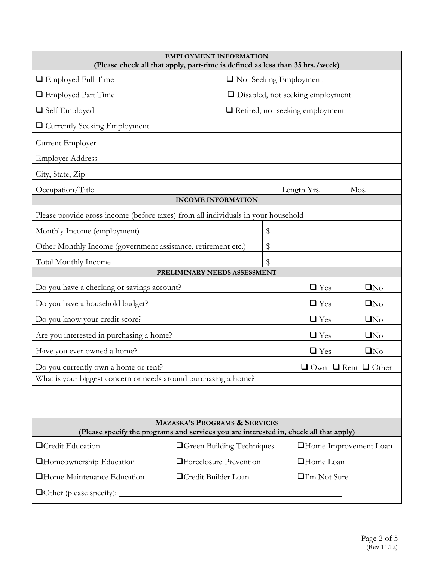| <b>EMPLOYMENT INFORMATION</b><br>(Please check all that apply, part-time is defined as less than 35 hrs./week)                     |                                                                                   |    |                     |                                        |                                     |
|------------------------------------------------------------------------------------------------------------------------------------|-----------------------------------------------------------------------------------|----|---------------------|----------------------------------------|-------------------------------------|
| $\Box$ Employed Full Time<br>□ Not Seeking Employment                                                                              |                                                                                   |    |                     |                                        |                                     |
| <b>E</b> Employed Part Time<br>$\Box$ Disabled, not seeking employment                                                             |                                                                                   |    |                     |                                        |                                     |
| $\Box$ Self Employed                                                                                                               |                                                                                   |    |                     | $\Box$ Retired, not seeking employment |                                     |
| $\Box$ Currently Seeking Employment                                                                                                |                                                                                   |    |                     |                                        |                                     |
| Current Employer                                                                                                                   |                                                                                   |    |                     |                                        |                                     |
| <b>Employer Address</b>                                                                                                            |                                                                                   |    |                     |                                        |                                     |
| City, State, Zip                                                                                                                   |                                                                                   |    |                     |                                        |                                     |
| Occupation/Title_                                                                                                                  |                                                                                   |    |                     | Length Yrs.                            | Mos.                                |
|                                                                                                                                    | <b>INCOME INFORMATION</b>                                                         |    |                     |                                        |                                     |
|                                                                                                                                    | Please provide gross income (before taxes) from all individuals in your household |    |                     |                                        |                                     |
| Monthly Income (employment)                                                                                                        |                                                                                   | \$ |                     |                                        |                                     |
|                                                                                                                                    | Other Monthly Income (government assistance, retirement etc.)                     | \$ |                     |                                        |                                     |
| <b>Total Monthly Income</b><br>\$                                                                                                  |                                                                                   |    |                     |                                        |                                     |
|                                                                                                                                    | PRELIMINARY NEEDS ASSESSMENT                                                      |    |                     |                                        |                                     |
| Do you have a checking or savings account?<br>$\Box$ Yes<br>$\Box$ No                                                              |                                                                                   |    |                     |                                        |                                     |
| Do you have a household budget?<br>$\Box$ Yes<br>$\square$ No                                                                      |                                                                                   |    |                     |                                        |                                     |
| Do you know your credit score?                                                                                                     |                                                                                   |    |                     | $\Box$ Yes                             | $\square$ No                        |
| Are you interested in purchasing a home?                                                                                           |                                                                                   |    |                     | $\Box$ Yes                             | $\Box$ No                           |
| Have you ever owned a home?<br>$\Box$ Yes<br>$\Box$ No                                                                             |                                                                                   |    |                     |                                        |                                     |
| Do you currently own a home or rent?                                                                                               |                                                                                   |    |                     |                                        | $\Box$ Own $\Box$ Rent $\Box$ Other |
| What is your biggest concern or needs around purchasing a home?                                                                    |                                                                                   |    |                     |                                        |                                     |
|                                                                                                                                    |                                                                                   |    |                     |                                        |                                     |
|                                                                                                                                    |                                                                                   |    |                     |                                        |                                     |
| <b>MAZASKA'S PROGRAMS &amp; SERVICES</b><br>(Please specify the programs and services you are interested in, check all that apply) |                                                                                   |    |                     |                                        |                                     |
| <b>OCredit Education</b>                                                                                                           | <b>O</b> Green Building Techniques                                                |    |                     |                                        | <b>Home Improvement Loan</b>        |
| <b>T</b> Foreclosure Prevention<br><b>Homeownership Education</b>                                                                  |                                                                                   |    | <b>Home</b> Loan    |                                        |                                     |
| Home Maintenance Education<br><b>OCredit Builder Loan</b>                                                                          |                                                                                   |    | $\Box$ I'm Not Sure |                                        |                                     |
|                                                                                                                                    |                                                                                   |    |                     |                                        |                                     |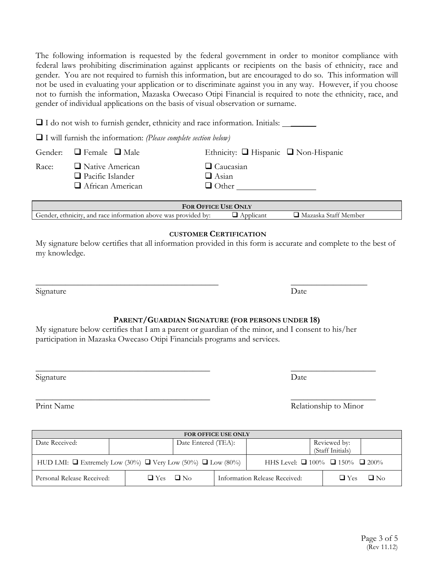The following information is requested by the federal government in order to monitor compliance with federal laws prohibiting discrimination against applicants or recipients on the basis of ethnicity, race and gender. You are not required to furnish this information, but are encouraged to do so. This information will not be used in evaluating your application or to discriminate against you in any way. However, if you choose not to furnish the information, Mazaska Owecaso Otipi Financial is required to note the ethnicity, race, and gender of individual applications on the basis of visual observation or surname.

 $\Box$  I do not wish to furnish gender, ethnicity and race information. Initials:  $\Box$ 

I will furnish the information: *(Please complete section below)*

|       | Gender: $\Box$ Female $\Box$ Male                                     | Ethnicity: $\Box$ Hispanic $\Box$ Non-Hispanic   |
|-------|-----------------------------------------------------------------------|--------------------------------------------------|
| Race: | $\Box$ Native American<br>$\Box$ Pacific Islander<br>African American | $\Box$ Caucasian<br>$\Box$ Asian<br>$\Box$ Other |

| <b>FOR OFFICE USE ONLY</b>                                     |          |                           |  |
|----------------------------------------------------------------|----------|---------------------------|--|
| Gender, ethnicity, and race information above was provided by: | Annhcani | Mazaska<br>. Staff Member |  |

# **CUSTOMER CERTIFICATION**

My signature below certifies that all information provided in this form is accurate and complete to the best of my knowledge.

Signature Date

# **PARENT/GUARDIAN SIGNATURE (FOR PERSONS UNDER 18)**

My signature below certifies that I am a parent or guardian of the minor, and I consent to his/her participation in Mazaska Owecaso Otipi Financials programs and services.

 $\_$  , and the contribution of the contribution of  $\overline{\phantom{a}}$  , and  $\overline{\phantom{a}}$  , and  $\overline{\phantom{a}}$  , and  $\overline{\phantom{a}}$ 

Signature Date

| <b>FOR OFFICE USE ONLY</b>                                                                                                   |                         |  |                               |                         |  |
|------------------------------------------------------------------------------------------------------------------------------|-------------------------|--|-------------------------------|-------------------------|--|
| Date Received:                                                                                                               | Date Entered (TEA):     |  |                               | Reviewed by:            |  |
|                                                                                                                              |                         |  |                               | (Staff Initials)        |  |
| HHS Level: $\Box$ 100% $\Box$ 150% $\Box$ 200%<br>HUD LMI: $\Box$ Extremely Low (30%) $\Box$ Very Low (50%) $\Box$ Low (80%) |                         |  |                               |                         |  |
| Personal Release Received:                                                                                                   | $\Box$ No<br>$\Box$ Yes |  | Information Release Received: | $\Box$ Yes<br>$\Box$ No |  |

 $\_$  , and the contract of the contract of the contract of the contract of the contract of the contract of the contract of the contract of the contract of the contract of the contract of the contract of the contract of the

 $\_$  , and the contract of the contract of the contract of the contract of the contract of the contract of the contract of the contract of the contract of the contract of the contract of the contract of the contract of the Print Name Relationship to Minor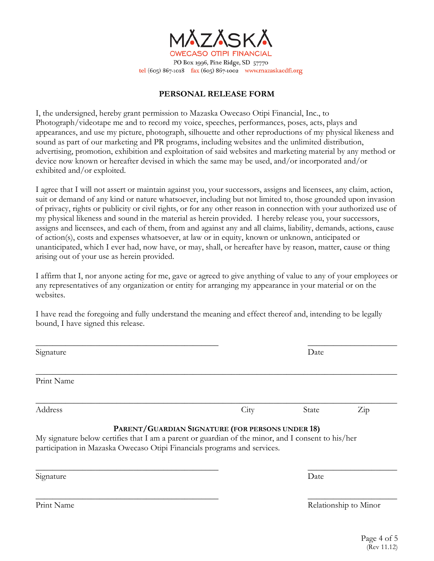

PO Box 1996, Pine Ridge, SD 57770 tel (605) 867-1018 fax (605) 867-1002 www.mazaskacdfi.org

## **PERSONAL RELEASE FORM**

I, the undersigned, hereby grant permission to Mazaska Owecaso Otipi Financial, Inc., to Photograph/videotape me and to record my voice, speeches, performances, poses, acts, plays and appearances, and use my picture, photograph, silhouette and other reproductions of my physical likeness and sound as part of our marketing and PR programs, including websites and the unlimited distribution, advertising, promotion, exhibition and exploitation of said websites and marketing material by any method or device now known or hereafter devised in which the same may be used, and/or incorporated and/or exhibited and/or exploited.

I agree that I will not assert or maintain against you, your successors, assigns and licensees, any claim, action, suit or demand of any kind or nature whatsoever, including but not limited to, those grounded upon invasion of privacy, rights or publicity or civil rights, or for any other reason in connection with your authorized use of my physical likeness and sound in the material as herein provided. I hereby release you, your successors, assigns and licensees, and each of them, from and against any and all claims, liability, demands, actions, cause of action(s), costs and expenses whatsoever, at law or in equity, known or unknown, anticipated or unanticipated, which I ever had, now have, or may, shall, or hereafter have by reason, matter, cause or thing arising out of your use as herein provided.

I affirm that I, nor anyone acting for me, gave or agreed to give anything of value to any of your employees or any representatives of any organization or entity for arranging my appearance in your material or on the websites.

I have read the foregoing and fully understand the meaning and effect thereof and, intending to be legally bound, I have signed this release.

| Signature  |                                                                                                                                                                                                                                    | Date  |                       |
|------------|------------------------------------------------------------------------------------------------------------------------------------------------------------------------------------------------------------------------------------|-------|-----------------------|
| Print Name |                                                                                                                                                                                                                                    |       |                       |
| Address    | City                                                                                                                                                                                                                               | State | $\operatorname{Zip}$  |
|            | PARENT/GUARDIAN SIGNATURE (FOR PERSONS UNDER 18)<br>My signature below certifies that I am a parent or guardian of the minor, and I consent to his/her<br>participation in Mazaska Owecaso Otipi Financials programs and services. |       |                       |
| Signature  |                                                                                                                                                                                                                                    | Date  |                       |
| Print Name |                                                                                                                                                                                                                                    |       | Relationship to Minor |